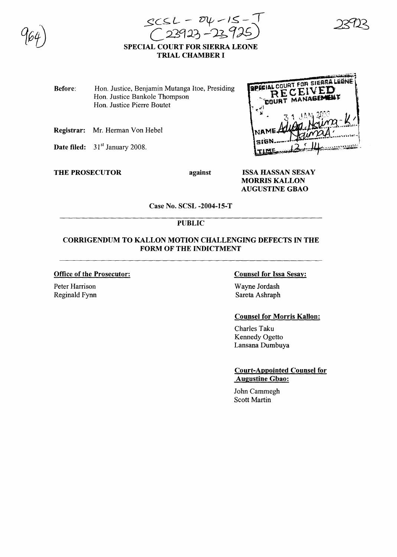$scsL - v4 - 15 - 15$  $(23923 - 23925)$ 

# SPECIAL COURT FOR SIERRA LEONE TRIAL CHAMBER I

Before: Hon. Justice, Benjamin Mutanga Itoe, Presiding Hon. Justice Bankole Thompson Hon. Justice Pierre Boutet

- Registrar: Mr. Herman Von Hebel
- Date filed:  $31<sup>st</sup>$  January 2008.

THE PROSECUTOR against

SPECIAL COURT FOR SIERRA LEONE RECEIVED **COURT MANAG** 

ISSA HASSAN SESAY MORRIS KALLON AUGUSTINE GBAO

Case No. SCSL -2004-15-T

# PUBLIC

### CORRIGENDUM TO KALLON MOTION CHALLENGING DEFECTS IN THE FORM OF THE INDICTMENT

#### Office of the Prosecutor:

Peter Harrison Reginald Fynn

### Counsel for Issa Sesay:

Wayne Jordash Sareta Ashraph

### Counsel for Morris Kallon:

Charles Taku Kennedy Ogetto Lansana Dumbuya

Court-Appointed Counsel for Augustine Gbao:

John Cammegh Scott Martin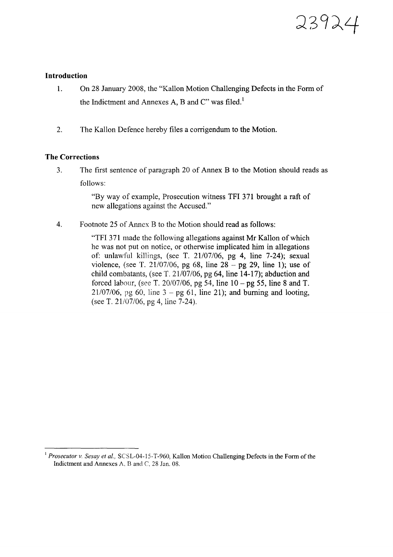

### **Introduction**

- 1. On 28 January 2008, the "Kallon Motion Challenging Defects in the Form of the Indictment and Annexes A, B and  $C''$  was filed.<sup>1</sup>
- 2. The Kallon Defence hereby files a corrigendum to the Motion.

## **The Corrections**

3. The first sentence of paragraph 20 of Annex B to the Motion should reads as follows:

> "By way of example, Prosecution witness TFI 371 brought a raft of new allegations against the Accused."

4. Footnote 25 of Annex B to the Motion should read as follows:

"TFI 371 made the following allegations against Mr Kallon of which he was not put on notice, or otherwise implicated him in allegations of: unlawful killings, (see T. 21107/06, pg 4, line 7-24); sexual violence, (see T. 21/07/06, pg 68, line  $28 -$  pg 29, line 1); use of child combatants, (see T.  $21/07/06$ , pg 64, line 14-17); abduction and forced labour, (see T. 20/07/06, pg 54, line  $10 - \text{pg } 55$ , line 8 and T.  $21/07/06$ , pg 60, line  $3 - pg$  61, line 21); and burning and looting, (see T. 21/07/06, pg 4, line 7-24).

<sup>I</sup> *Prosecutor v. Sesay et aI.,* SCSL-04-15-T-960, Kallon Motion Challenging Defects in the Form of the Indictment and Annexes A, B and C,  $28$  Jan. 08.